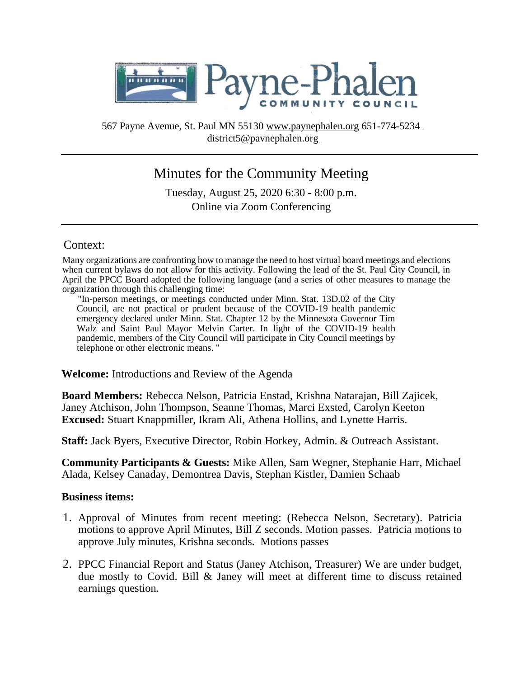

567 Payne Avenue, St. Paul MN 55130 www.paynephalen.org 651-774-5234 district5@pavnephalen.org

# Minutes for the Community Meeting

Tuesday, August 25, 2020 6:30 - 8:00 p.m. Online via Zoom Conferencing

## Context:

Many organizations are confronting how to manage the need to host virtual board meetings and elections when current bylaws do not allow for this activity. Following the lead of the St. Paul City Council, in April the PPCC Board adopted the following language (and a series of other measures to manage the organization through this challenging time:

"In-person meetings, or meetings conducted under Minn. Stat. 13D.02 of the City Council, are not practical or prudent because of the COVID-19 health pandemic emergency declared under Minn. Stat. Chapter 12 by the Minnesota Governor Tim Walz and Saint Paul Mayor Melvin Carter. In light of the COVID-19 health pandemic, members of the City Council will participate in City Council meetings by telephone or other electronic means. "

**Welcome:** Introductions and Review of the Agenda

**Board Members:** Rebecca Nelson, Patricia Enstad, Krishna Natarajan, Bill Zajicek, Janey Atchison, John Thompson, Seanne Thomas, Marci Exsted, Carolyn Keeton **Excused:** Stuart Knappmiller, Ikram Ali, Athena Hollins, and Lynette Harris.

**Staff:** Jack Byers, Executive Director, Robin Horkey, Admin. & Outreach Assistant.

**Community Participants & Guests:** Mike Allen, Sam Wegner, Stephanie Harr, Michael Alada, Kelsey Canaday, Demontrea Davis, Stephan Kistler, Damien Schaab

### **Business items:**

- 1. Approval of Minutes from recent meeting: (Rebecca Nelson, Secretary). Patricia motions to approve April Minutes, Bill Z seconds. Motion passes. Patricia motions to approve July minutes, Krishna seconds. Motions passes
- 2. PPCC Financial Report and Status (Janey Atchison, Treasurer) We are under budget, due mostly to Covid. Bill & Janey will meet at different time to discuss retained earnings question.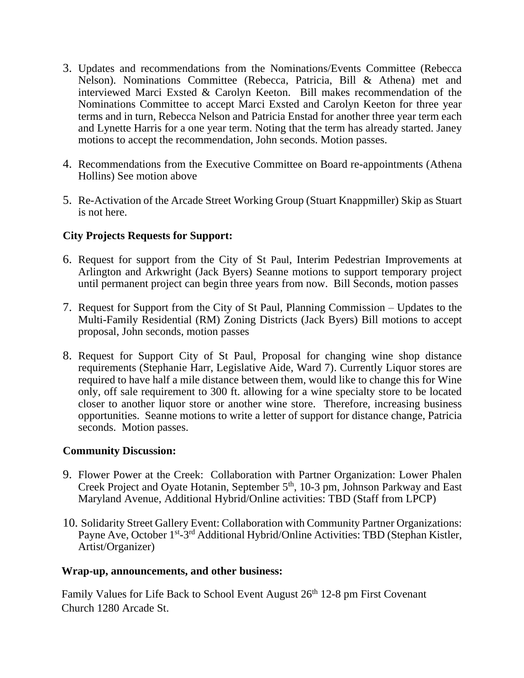- 3. Updates and recommendations from the Nominations/Events Committee (Rebecca Nelson). Nominations Committee (Rebecca, Patricia, Bill & Athena) met and interviewed Marci Exsted & Carolyn Keeton. Bill makes recommendation of the Nominations Committee to accept Marci Exsted and Carolyn Keeton for three year terms and in turn, Rebecca Nelson and Patricia Enstad for another three year term each and Lynette Harris for a one year term. Noting that the term has already started. Janey motions to accept the recommendation, John seconds. Motion passes.
- 4. Recommendations from the Executive Committee on Board re-appointments (Athena Hollins) See motion above
- 5. Re-Activation of the Arcade Street Working Group (Stuart Knappmiller) Skip as Stuart is not here.

# **City Projects Requests for Support:**

- 6. Request for support from the City of St Paul, Interim Pedestrian Improvements at Arlington and Arkwright (Jack Byers) Seanne motions to support temporary project until permanent project can begin three years from now. Bill Seconds, motion passes
- 7. Request for Support from the City of St Paul, Planning Commission Updates to the Multi-Family Residential (RM) Zoning Districts (Jack Byers) Bill motions to accept proposal, John seconds, motion passes
- 8. Request for Support City of St Paul, Proposal for changing wine shop distance requirements (Stephanie Harr, Legislative Aide, Ward 7). Currently Liquor stores are required to have half a mile distance between them, would like to change this for Wine only, off sale requirement to 300 ft. allowing for a wine specialty store to be located closer to another liquor store or another wine store. Therefore, increasing business opportunities. Seanne motions to write a letter of support for distance change, Patricia seconds. Motion passes.

## **Community Discussion:**

- 9. Flower Power at the Creek: Collaboration with Partner Organization: Lower Phalen Creek Project and Oyate Hotanin, September 5<sup>th</sup>, 10-3 pm, Johnson Parkway and East Maryland Avenue, Additional Hybrid/Online activities: TBD (Staff from LPCP)
- 10. Solidarity Street Gallery Event: Collaboration with Community Partner Organizations: Payne Ave, October 1<sup>st</sup>-3<sup>rd</sup> Additional Hybrid/Online Activities: TBD (Stephan Kistler, Artist/Organizer)

### **Wrap-up, announcements, and other business:**

Family Values for Life Back to School Event August 26<sup>th</sup> 12-8 pm First Covenant Church 1280 Arcade St.